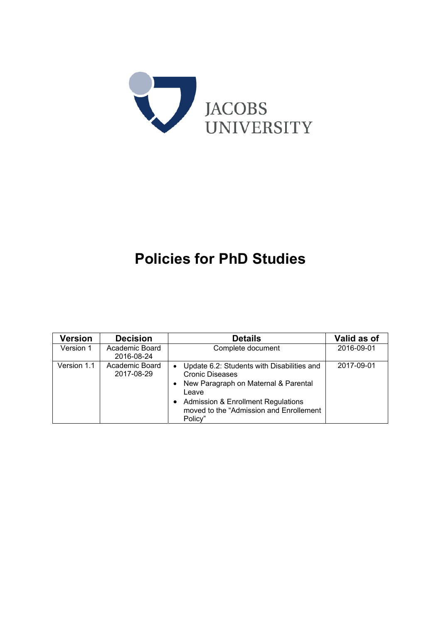

# **Policies for PhD Studies**

| <b>Version</b> | <b>Decision</b>              | <b>Details</b>                                                                                                                                                                                                                                           | Valid as of |
|----------------|------------------------------|----------------------------------------------------------------------------------------------------------------------------------------------------------------------------------------------------------------------------------------------------------|-------------|
| Version 1      | Academic Board<br>2016-08-24 | Complete document                                                                                                                                                                                                                                        | 2016-09-01  |
| Version 1.1    | Academic Board<br>2017-08-29 | Update 6.2: Students with Disabilities and<br>$\bullet$<br><b>Cronic Diseases</b><br>• New Paragraph on Maternal & Parental<br>Leave<br><b>Admission &amp; Enrollment Regulations</b><br>$\bullet$<br>moved to the "Admission and Enrollement<br>Policy" | 2017-09-01  |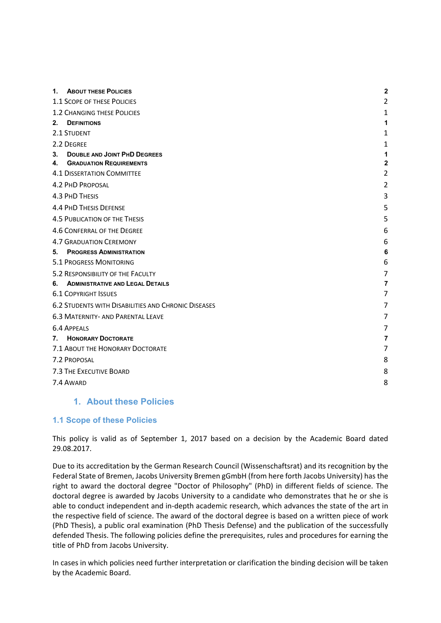| 1.      | <b>ABOUT THESE POLICIES</b>                                           | $\overline{2}$                 |
|---------|-----------------------------------------------------------------------|--------------------------------|
|         | 1.1 SCOPE OF THESE POLICIES                                           | $\overline{2}$                 |
|         | <b>1.2 CHANGING THESE POLICIES</b>                                    | 1                              |
| $2_{-}$ | <b>DEFINITIONS</b>                                                    | 1                              |
|         | 2.1 STUDENT                                                           | 1                              |
|         | 2.2 DEGREE                                                            | 1                              |
| 3.      | <b>DOUBLE AND JOINT PHD DEGREES</b><br><b>GRADUATION REQUIREMENTS</b> | 1                              |
| 4.      | <b>4.1 DISSERTATION COMMITTEE</b>                                     | $\mathbf{2}$<br>$\overline{2}$ |
|         |                                                                       |                                |
|         | 4.2 PHD PROPOSAL                                                      | $\overline{2}$                 |
|         | <b>4.3 PHD THESIS</b>                                                 | 3                              |
|         | <b>4.4 PHD THESIS DEFENSE</b>                                         | 5                              |
|         | <b>4.5 PUBLICATION OF THE THESIS</b>                                  | 5                              |
|         | 4.6 CONFERRAL OF THE DEGREE                                           | 6                              |
|         | <b>4.7 GRADUATION CEREMONY</b>                                        | 6                              |
| 5.      | <b>PROGRESS ADMINISTRATION</b>                                        | 6                              |
|         | <b>5.1 PROGRESS MONITORING</b>                                        | 6                              |
|         | 5.2 RESPONSIBILITY OF THE FACULTY                                     | 7                              |
| 6.      | <b>ADMINISTRATIVE AND LEGAL DETAILS</b>                               | $\overline{7}$                 |
|         | <b>6.1 COPYRIGHT ISSUES</b>                                           | 7                              |
|         | <b>6.2 STUDENTS WITH DISABILITIES AND CHRONIC DISEASES</b>            | 7                              |
|         | <b>6.3 MATERNITY- AND PARENTAL LEAVE</b>                              | 7                              |
|         | <b>6.4 APPEALS</b>                                                    | 7                              |
| 7.      | <b>HONORARY DOCTORATE</b>                                             | 7                              |
|         | 7.1 ABOUT THE HONORARY DOCTORATE                                      | 7                              |
|         | 7.2 PROPOSAL                                                          | 8                              |
|         | 7.3 THE EXECUTIVE BOARD                                               | 8                              |
|         | 7.4 AWARD                                                             | 8                              |
|         |                                                                       |                                |

## **1. About these Policies**

#### **1.1 Scope of these Policies**

This policy is valid as of September 1, 2017 based on a decision by the Academic Board dated 29.08.2017.

Due to its accreditation by the German Research Council (Wissenschaftsrat) and its recognition by the Federal State of Bremen, Jacobs University Bremen gGmbH (from here forth Jacobs University) has the right to award the doctoral degree "Doctor of Philosophy" (PhD) in different fields of science. The doctoral degree is awarded by Jacobs University to a candidate who demonstrates that he or she is able to conduct independent and in‐depth academic research, which advances the state of the art in the respective field of science. The award of the doctoral degree is based on a written piece of work (PhD Thesis), a public oral examination (PhD Thesis Defense) and the publication of the successfully defended Thesis. The following policies define the prerequisites, rules and procedures for earning the title of PhD from Jacobs University.

In cases in which policies need further interpretation or clarification the binding decision will be taken by the Academic Board.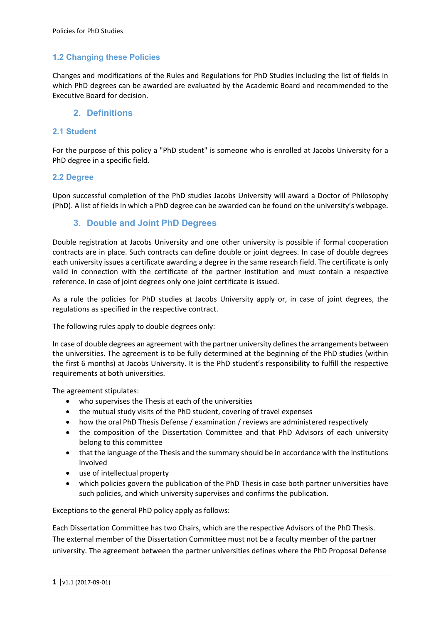## **1.2 Changing these Policies**

Changes and modifications of the Rules and Regulations for PhD Studies including the list of fields in which PhD degrees can be awarded are evaluated by the Academic Board and recommended to the Executive Board for decision.

## **2. Definitions**

## **2.1 Student**

For the purpose of this policy a "PhD student" is someone who is enrolled at Jacobs University for a PhD degree in a specific field.

#### **2.2 Degree**

Upon successful completion of the PhD studies Jacobs University will award a Doctor of Philosophy (PhD). A list of fields in which a PhD degree can be awarded can be found on the university's webpage.

## **3. Double and Joint PhD Degrees**

Double registration at Jacobs University and one other university is possible if formal cooperation contracts are in place. Such contracts can define double or joint degrees. In case of double degrees each university issues a certificate awarding a degree in the same research field. The certificate is only valid in connection with the certificate of the partner institution and must contain a respective reference. In case of joint degrees only one joint certificate is issued.

As a rule the policies for PhD studies at Jacobs University apply or, in case of joint degrees, the regulations as specified in the respective contract.

The following rules apply to double degrees only:

In case of double degrees an agreement with the partner university defines the arrangements between the universities. The agreement is to be fully determined at the beginning of the PhD studies (within the first 6 months) at Jacobs University. It is the PhD student's responsibility to fulfill the respective requirements at both universities.

The agreement stipulates:

- who supervises the Thesis at each of the universities
- the mutual study visits of the PhD student, covering of travel expenses
- how the oral PhD Thesis Defense / examination / reviews are administered respectively
- the composition of the Dissertation Committee and that PhD Advisors of each university belong to this committee
- that the language of the Thesis and the summary should be in accordance with the institutions involved
- use of intellectual property
- which policies govern the publication of the PhD Thesis in case both partner universities have such policies, and which university supervises and confirms the publication.

Exceptions to the general PhD policy apply as follows:

Each Dissertation Committee has two Chairs, which are the respective Advisors of the PhD Thesis. The external member of the Dissertation Committee must not be a faculty member of the partner university. The agreement between the partner universities defines where the PhD Proposal Defense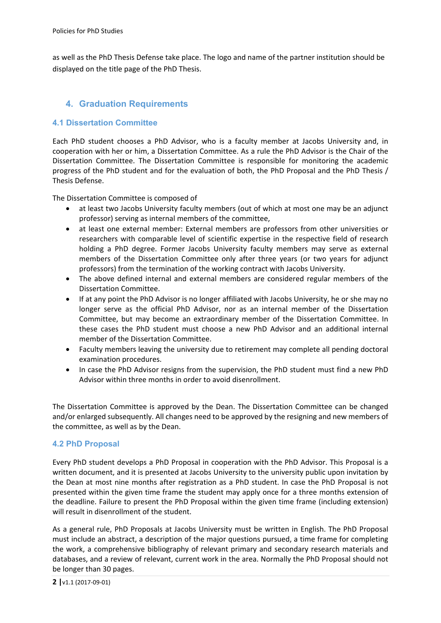as well as the PhD Thesis Defense take place. The logo and name of the partner institution should be displayed on the title page of the PhD Thesis.

# **4. Graduation Requirements**

## **4.1 Dissertation Committee**

Each PhD student chooses a PhD Advisor, who is a faculty member at Jacobs University and, in cooperation with her or him, a Dissertation Committee. As a rule the PhD Advisor is the Chair of the Dissertation Committee. The Dissertation Committee is responsible for monitoring the academic progress of the PhD student and for the evaluation of both, the PhD Proposal and the PhD Thesis / Thesis Defense.

The Dissertation Committee is composed of

- at least two Jacobs University faculty members (out of which at most one may be an adjunct professor) serving as internal members of the committee,
- at least one external member: External members are professors from other universities or researchers with comparable level of scientific expertise in the respective field of research holding a PhD degree. Former Jacobs University faculty members may serve as external members of the Dissertation Committee only after three years (or two years for adjunct professors) from the termination of the working contract with Jacobs University.
- The above defined internal and external members are considered regular members of the Dissertation Committee.
- If at any point the PhD Advisor is no longer affiliated with Jacobs University, he or she may no longer serve as the official PhD Advisor, nor as an internal member of the Dissertation Committee, but may become an extraordinary member of the Dissertation Committee. In these cases the PhD student must choose a new PhD Advisor and an additional internal member of the Dissertation Committee.
- Faculty members leaving the university due to retirement may complete all pending doctoral examination procedures.
- In case the PhD Advisor resigns from the supervision, the PhD student must find a new PhD Advisor within three months in order to avoid disenrollment.

The Dissertation Committee is approved by the Dean. The Dissertation Committee can be changed and/or enlarged subsequently. All changes need to be approved by the resigning and new members of the committee, as well as by the Dean.

#### **4.2 PhD Proposal**

Every PhD student develops a PhD Proposal in cooperation with the PhD Advisor. This Proposal is a written document, and it is presented at Jacobs University to the university public upon invitation by the Dean at most nine months after registration as a PhD student. In case the PhD Proposal is not presented within the given time frame the student may apply once for a three months extension of the deadline. Failure to present the PhD Proposal within the given time frame (including extension) will result in disenrollment of the student.

As a general rule, PhD Proposals at Jacobs University must be written in English. The PhD Proposal must include an abstract, a description of the major questions pursued, a time frame for completing the work, a comprehensive bibliography of relevant primary and secondary research materials and databases, and a review of relevant, current work in the area. Normally the PhD Proposal should not be longer than 30 pages.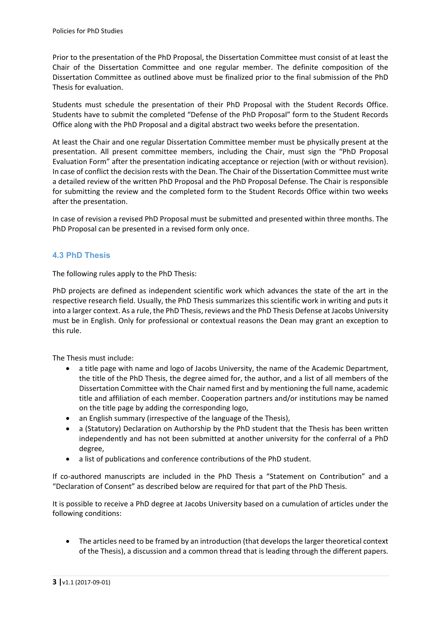Prior to the presentation of the PhD Proposal, the Dissertation Committee must consist of at least the Chair of the Dissertation Committee and one regular member. The definite composition of the Dissertation Committee as outlined above must be finalized prior to the final submission of the PhD Thesis for evaluation.

Students must schedule the presentation of their PhD Proposal with the Student Records Office. Students have to submit the completed "Defense of the PhD Proposal" form to the Student Records Office along with the PhD Proposal and a digital abstract two weeks before the presentation.

At least the Chair and one regular Dissertation Committee member must be physically present at the presentation. All present committee members, including the Chair, must sign the "PhD Proposal Evaluation Form" after the presentation indicating acceptance or rejection (with or without revision). In case of conflict the decision rests with the Dean. The Chair of the Dissertation Committee must write a detailed review of the written PhD Proposal and the PhD Proposal Defense. The Chair is responsible for submitting the review and the completed form to the Student Records Office within two weeks after the presentation.

In case of revision a revised PhD Proposal must be submitted and presented within three months. The PhD Proposal can be presented in a revised form only once.

## **4.3 PhD Thesis**

The following rules apply to the PhD Thesis:

PhD projects are defined as independent scientific work which advances the state of the art in the respective research field. Usually, the PhD Thesis summarizes this scientific work in writing and puts it into a larger context. As a rule, the PhD Thesis, reviews and the PhD Thesis Defense at Jacobs University must be in English. Only for professional or contextual reasons the Dean may grant an exception to this rule.

The Thesis must include:

- a title page with name and logo of Jacobs University, the name of the Academic Department, the title of the PhD Thesis, the degree aimed for, the author, and a list of all members of the Dissertation Committee with the Chair named first and by mentioning the full name, academic title and affiliation of each member. Cooperation partners and/or institutions may be named on the title page by adding the corresponding logo,
- an English summary (irrespective of the language of the Thesis),
- a (Statutory) Declaration on Authorship by the PhD student that the Thesis has been written independently and has not been submitted at another university for the conferral of a PhD degree,
- a list of publications and conference contributions of the PhD student.

If co-authored manuscripts are included in the PhD Thesis a "Statement on Contribution" and a "Declaration of Consent" as described below are required for that part of the PhD Thesis.

It is possible to receive a PhD degree at Jacobs University based on a cumulation of articles under the following conditions:

• The articles need to be framed by an introduction (that develops the larger theoretical context of the Thesis), a discussion and a common thread that is leading through the different papers.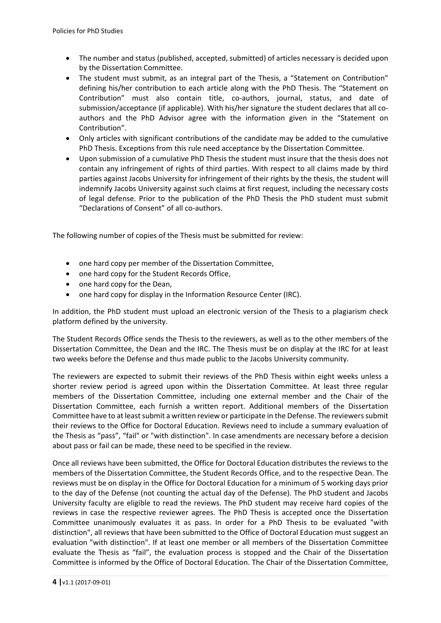- The number and status (published, accepted, submitted) of articles necessary is decided upon by the Dissertation Committee.
- The student must submit, as an integral part of the Thesis, a "Statement on Contribution" defining his/her contribution to each article along with the PhD Thesis. The "Statement on Contribution" must also contain title, co-authors, journal, status, and date of submission/acceptance (if applicable). With his/her signature the student declares that all coauthors and the PhD Advisor agree with the information given in the "Statement on Contribution".
- Only articles with significant contributions of the candidate may be added to the cumulative PhD Thesis. Exceptions from this rule need acceptance by the Dissertation Committee.
- Upon submission of a cumulative PhD Thesis the student must insure that the thesis does not contain any infringement of rights of third parties. With respect to all claims made by third parties against Jacobs University for infringement of their rights by the thesis, the student will indemnify Jacobs University against such claims at first request, including the necessary costs of legal defense. Prior to the publication of the PhD Thesis the PhD student must submit "Declarations of Consent" of all co‐authors.

The following number of copies of the Thesis must be submitted for review:

- one hard copy per member of the Dissertation Committee,
- one hard copy for the Student Records Office,
- one hard copy for the Dean,
- one hard copy for display in the Information Resource Center (IRC).

In addition, the PhD student must upload an electronic version of the Thesis to a plagiarism check platform defined by the university.

The Student Records Office sends the Thesis to the reviewers, as well as to the other members of the Dissertation Committee, the Dean and the IRC. The Thesis must be on display at the IRC for at least two weeks before the Defense and thus made public to the Jacobs University community.

The reviewers are expected to submit their reviews of the PhD Thesis within eight weeks unless a shorter review period is agreed upon within the Dissertation Committee. At least three regular members of the Dissertation Committee, including one external member and the Chair of the Dissertation Committee, each furnish a written report. Additional members of the Dissertation Committee have to at least submit a written review or participate in the Defense. The reviewers submit their reviews to the Office for Doctoral Education. Reviews need to include a summary evaluation of the Thesis as "pass", "fail" or "with distinction". In case amendments are necessary before a decision about pass or fail can be made, these need to be specified in the review.

Once all reviews have been submitted, the Office for Doctoral Education distributes the reviews to the members of the Dissertation Committee, the Student Records Office, and to the respective Dean. The reviews must be on display in the Office for Doctoral Education for a minimum of 5 working days prior to the day of the Defense (not counting the actual day of the Defense). The PhD student and Jacobs University faculty are eligible to read the reviews. The PhD student may receive hard copies of the reviews in case the respective reviewer agrees. The PhD Thesis is accepted once the Dissertation Committee unanimously evaluates it as pass. In order for a PhD Thesis to be evaluated "with distinction", all reviews that have been submitted to the Office of Doctoral Education must suggest an evaluation "with distinction". If at least one member or all members of the Dissertation Committee evaluate the Thesis as "fail", the evaluation process is stopped and the Chair of the Dissertation Committee is informed by the Office of Doctoral Education. The Chair of the Dissertation Committee,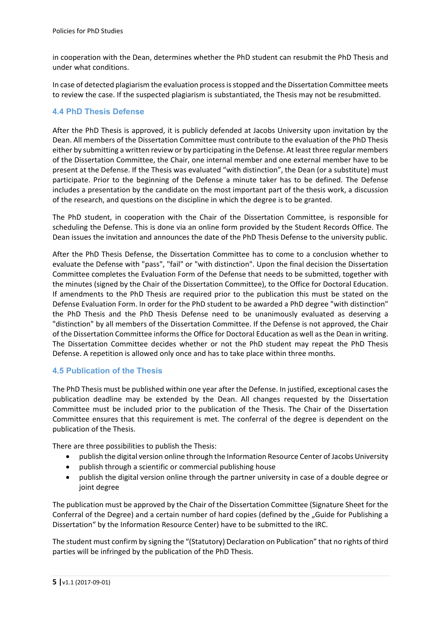in cooperation with the Dean, determines whether the PhD student can resubmit the PhD Thesis and under what conditions.

In case of detected plagiarism the evaluation process is stopped and the Dissertation Committee meets to review the case. If the suspected plagiarism is substantiated, the Thesis may not be resubmitted.

## **4.4 PhD Thesis Defense**

After the PhD Thesis is approved, it is publicly defended at Jacobs University upon invitation by the Dean. All members of the Dissertation Committee must contribute to the evaluation of the PhD Thesis either by submitting a written review or by participating in the Defense. At least three regular members of the Dissertation Committee, the Chair, one internal member and one external member have to be present at the Defense. If the Thesis was evaluated "with distinction", the Dean (or a substitute) must participate. Prior to the beginning of the Defense a minute taker has to be defined. The Defense includes a presentation by the candidate on the most important part of the thesis work, a discussion of the research, and questions on the discipline in which the degree is to be granted.

The PhD student, in cooperation with the Chair of the Dissertation Committee, is responsible for scheduling the Defense. This is done via an online form provided by the Student Records Office. The Dean issues the invitation and announces the date of the PhD Thesis Defense to the university public.

After the PhD Thesis Defense, the Dissertation Committee has to come to a conclusion whether to evaluate the Defense with "pass", "fail" or "with distinction". Upon the final decision the Dissertation Committee completes the Evaluation Form of the Defense that needs to be submitted, together with the minutes (signed by the Chair of the Dissertation Committee), to the Office for Doctoral Education. If amendments to the PhD Thesis are required prior to the publication this must be stated on the Defense Evaluation Form. In order for the PhD student to be awarded a PhD degree "with distinction" the PhD Thesis and the PhD Thesis Defense need to be unanimously evaluated as deserving a "distinction" by all members of the Dissertation Committee. If the Defense is not approved, the Chair of the Dissertation Committee informs the Office for Doctoral Education as well as the Dean in writing. The Dissertation Committee decides whether or not the PhD student may repeat the PhD Thesis Defense. A repetition is allowed only once and has to take place within three months.

#### **4.5 Publication of the Thesis**

The PhD Thesis must be published within one year after the Defense. In justified, exceptional cases the publication deadline may be extended by the Dean. All changes requested by the Dissertation Committee must be included prior to the publication of the Thesis. The Chair of the Dissertation Committee ensures that this requirement is met. The conferral of the degree is dependent on the publication of the Thesis.

There are three possibilities to publish the Thesis:

- publish the digital version online through the Information Resource Center of Jacobs University
- publish through a scientific or commercial publishing house
- publish the digital version online through the partner university in case of a double degree or joint degree

The publication must be approved by the Chair of the Dissertation Committee (Signature Sheet for the Conferral of the Degree) and a certain number of hard copies (defined by the "Guide for Publishing a Dissertation" by the Information Resource Center) have to be submitted to the IRC.

The student must confirm by signing the "(Statutory) Declaration on Publication" that no rights of third parties will be infringed by the publication of the PhD Thesis.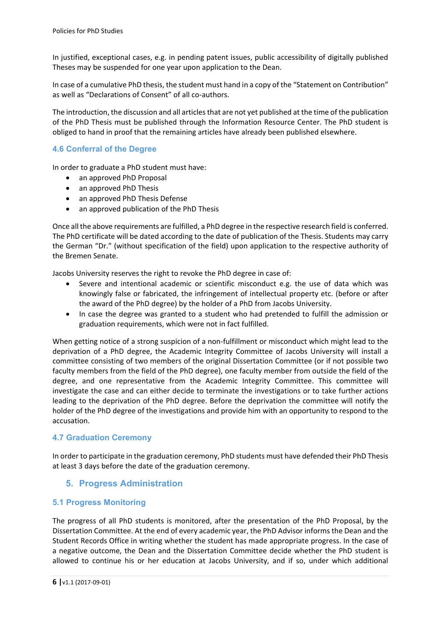In justified, exceptional cases, e.g. in pending patent issues, public accessibility of digitally published Theses may be suspended for one year upon application to the Dean.

In case of a cumulative PhD thesis, the student must hand in a copy of the "Statement on Contribution" as well as "Declarations of Consent" of all co-authors.

The introduction, the discussion and all articles that are not yet published at the time of the publication of the PhD Thesis must be published through the Information Resource Center. The PhD student is obliged to hand in proof that the remaining articles have already been published elsewhere.

## **4.6 Conferral of the Degree**

In order to graduate a PhD student must have:

- an approved PhD Proposal
- an approved PhD Thesis
- an approved PhD Thesis Defense
- an approved publication of the PhD Thesis

Once all the above requirements are fulfilled, a PhD degree in the respective research field is conferred. The PhD certificate will be dated according to the date of publication of the Thesis. Students may carry the German "Dr." (without specification of the field) upon application to the respective authority of the Bremen Senate.

Jacobs University reserves the right to revoke the PhD degree in case of:

- Severe and intentional academic or scientific misconduct e.g. the use of data which was knowingly false or fabricated, the infringement of intellectual property etc. (before or after the award of the PhD degree) by the holder of a PhD from Jacobs University.
- In case the degree was granted to a student who had pretended to fulfill the admission or graduation requirements, which were not in fact fulfilled.

When getting notice of a strong suspicion of a non-fulfillment or misconduct which might lead to the deprivation of a PhD degree, the Academic Integrity Committee of Jacobs University will install a committee consisting of two members of the original Dissertation Committee (or if not possible two faculty members from the field of the PhD degree), one faculty member from outside the field of the degree, and one representative from the Academic Integrity Committee. This committee will investigate the case and can either decide to terminate the investigations or to take further actions leading to the deprivation of the PhD degree. Before the deprivation the committee will notify the holder of the PhD degree of the investigations and provide him with an opportunity to respond to the accusation.

#### **4.7 Graduation Ceremony**

In order to participate in the graduation ceremony, PhD students must have defended their PhD Thesis at least 3 days before the date of the graduation ceremony.

## **5. Progress Administration**

#### **5.1 Progress Monitoring**

The progress of all PhD students is monitored, after the presentation of the PhD Proposal, by the Dissertation Committee. At the end of every academic year, the PhD Advisor informs the Dean and the Student Records Office in writing whether the student has made appropriate progress. In the case of a negative outcome, the Dean and the Dissertation Committee decide whether the PhD student is allowed to continue his or her education at Jacobs University, and if so, under which additional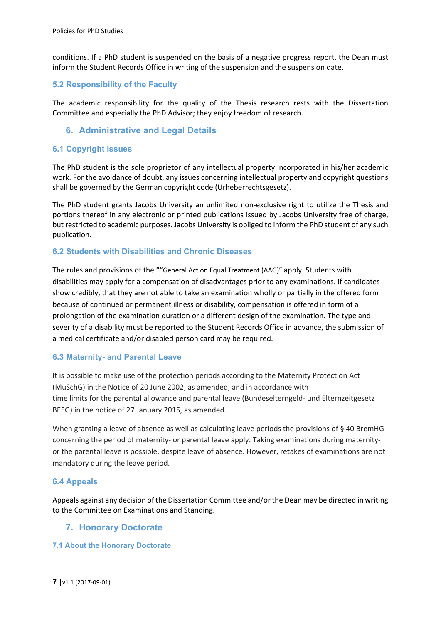conditions. If a PhD student is suspended on the basis of a negative progress report, the Dean must inform the Student Records Office in writing of the suspension and the suspension date.

## **5.2 Responsibility of the Faculty**

The academic responsibility for the quality of the Thesis research rests with the Dissertation Committee and especially the PhD Advisor; they enjoy freedom of research.

## **6. Administrative and Legal Details**

#### **6.1 Copyright Issues**

The PhD student is the sole proprietor of any intellectual property incorporated in his/her academic work. For the avoidance of doubt, any issues concerning intellectual property and copyright questions shall be governed by the German copyright code (Urheberrechtsgesetz).

The PhD student grants Jacobs University an unlimited non-exclusive right to utilize the Thesis and portions thereof in any electronic or printed publications issued by Jacobs University free of charge, but restricted to academic purposes. Jacobs University is obliged to inform the PhD student of any such publication.

#### **6.2 Students with Disabilities and Chronic Diseases**

The rules and provisions of the ""General Act on Equal Treatment (AAG)" apply. Students with disabilities may apply for a compensation of disadvantages prior to any examinations. If candidates show credibly, that they are not able to take an examination wholly or partially in the offered form because of continued or permanent illness or disability, compensation is offered in form of a prolongation of the examination duration or a different design of the examination. The type and severity of a disability must be reported to the Student Records Office in advance, the submission of a medical certificate and/or disabled person card may be required.

#### **6.3 Maternity- and Parental Leave**

It is possible to make use of the protection periods according to the Maternity Protection Act (MuSchG) in the Notice of 20 June 2002, as amended, and in accordance with time limits for the parental allowance and parental leave (Bundeselterngeld‐ und Elternzeitgesetz BEEG) in the notice of 27 January 2015, as amended.

When granting a leave of absence as well as calculating leave periods the provisions of §40 BremHG concerning the period of maternity‐ or parental leave apply. Taking examinations during maternity‐ or the parental leave is possible, despite leave of absence. However, retakes of examinations are not mandatory during the leave period.

#### **6.4 Appeals**

Appeals against any decision of the Dissertation Committee and/or the Dean may be directed in writing to the Committee on Examinations and Standing.

#### **7. Honorary Doctorate**

#### **7.1 About the Honorary Doctorate**